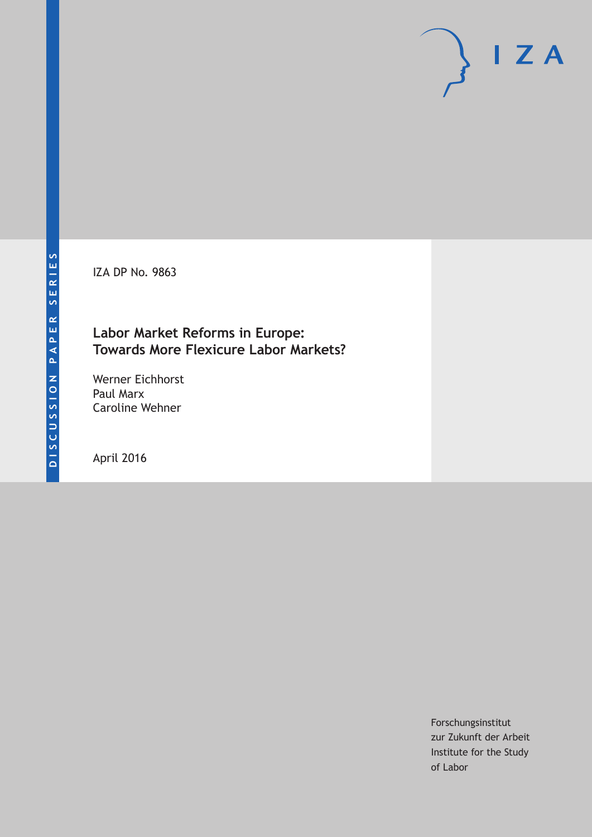IZA DP No. 9863

# **Labor Market Reforms in Europe: Towards More Flexicure Labor Markets?**

Werner Eichhorst Paul Marx Caroline Wehner

April 2016

Forschungsinstitut zur Zukunft der Arbeit Institute for the Study of Labor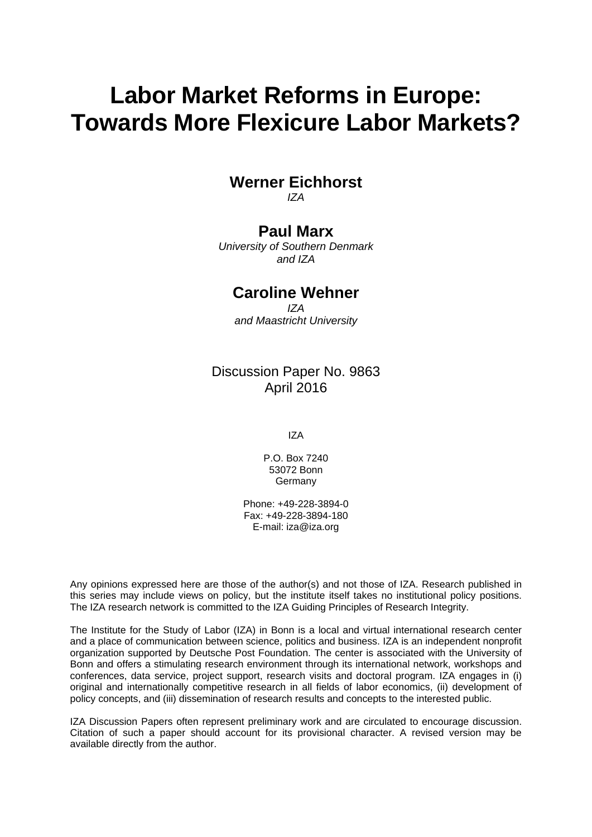# **Labor Market Reforms in Europe: Towards More Flexicure Labor Markets?**

## **Werner Eichhorst**  *IZA*

# **Paul Marx**

*University of Southern Denmark and IZA* 

# **Caroline Wehner**

*IZA and Maastricht University*

# Discussion Paper No. 9863 April 2016

IZA

P.O. Box 7240 53072 Bonn **Germany** 

Phone: +49-228-3894-0 Fax: +49-228-3894-180 E-mail: iza@iza.org

Any opinions expressed here are those of the author(s) and not those of IZA. Research published in this series may include views on policy, but the institute itself takes no institutional policy positions. The IZA research network is committed to the IZA Guiding Principles of Research Integrity.

The Institute for the Study of Labor (IZA) in Bonn is a local and virtual international research center and a place of communication between science, politics and business. IZA is an independent nonprofit organization supported by Deutsche Post Foundation. The center is associated with the University of Bonn and offers a stimulating research environment through its international network, workshops and conferences, data service, project support, research visits and doctoral program. IZA engages in (i) original and internationally competitive research in all fields of labor economics, (ii) development of policy concepts, and (iii) dissemination of research results and concepts to the interested public.

IZA Discussion Papers often represent preliminary work and are circulated to encourage discussion. Citation of such a paper should account for its provisional character. A revised version may be available directly from the author.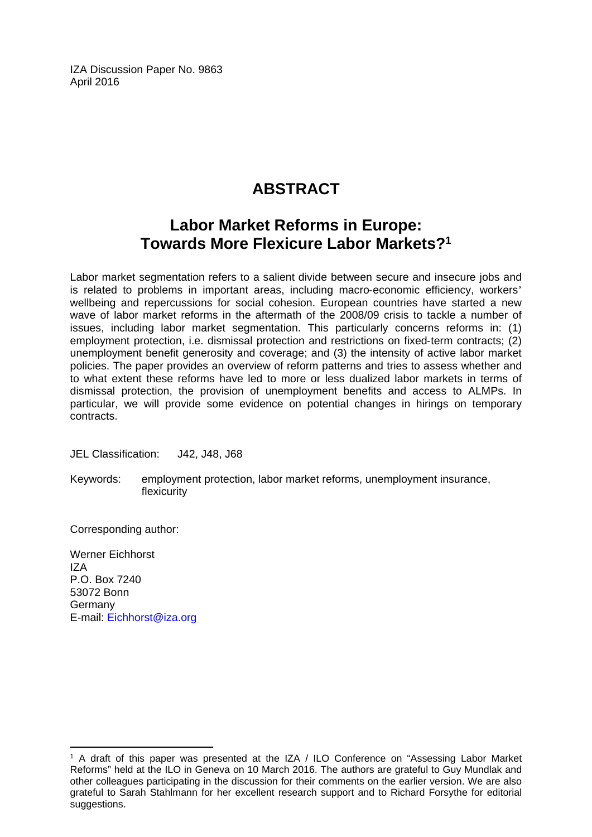IZA Discussion Paper No. 9863 April 2016

# **ABSTRACT**

# **Labor Market Reforms in Europe: Towards More Flexicure Labor Markets?1**

Labor market segmentation refers to a salient divide between secure and insecure jobs and is related to problems in important areas, including macro-economic efficiency, workers' wellbeing and repercussions for social cohesion. European countries have started a new wave of labor market reforms in the aftermath of the 2008/09 crisis to tackle a number of issues, including labor market segmentation. This particularly concerns reforms in: (1) employment protection, i.e. dismissal protection and restrictions on fixed-term contracts; (2) unemployment benefit generosity and coverage; and (3) the intensity of active labor market policies. The paper provides an overview of reform patterns and tries to assess whether and to what extent these reforms have led to more or less dualized labor markets in terms of dismissal protection, the provision of unemployment benefits and access to ALMPs. In particular, we will provide some evidence on potential changes in hirings on temporary contracts.

JEL Classification: J42, J48, J68

Keywords: employment protection, labor market reforms, unemployment insurance, flexicurity

Corresponding author:

Werner Eichhorst  $IZ\Delta$ P.O. Box 7240 53072 Bonn Germany E-mail: Eichhorst@iza.org

 $\overline{\phantom{a}}$ 

<sup>1</sup> A draft of this paper was presented at the IZA / ILO Conference on "Assessing Labor Market Reforms" held at the ILO in Geneva on 10 March 2016. The authors are grateful to Guy Mundlak and other colleagues participating in the discussion for their comments on the earlier version. We are also grateful to Sarah Stahlmann for her excellent research support and to Richard Forsythe for editorial suggestions.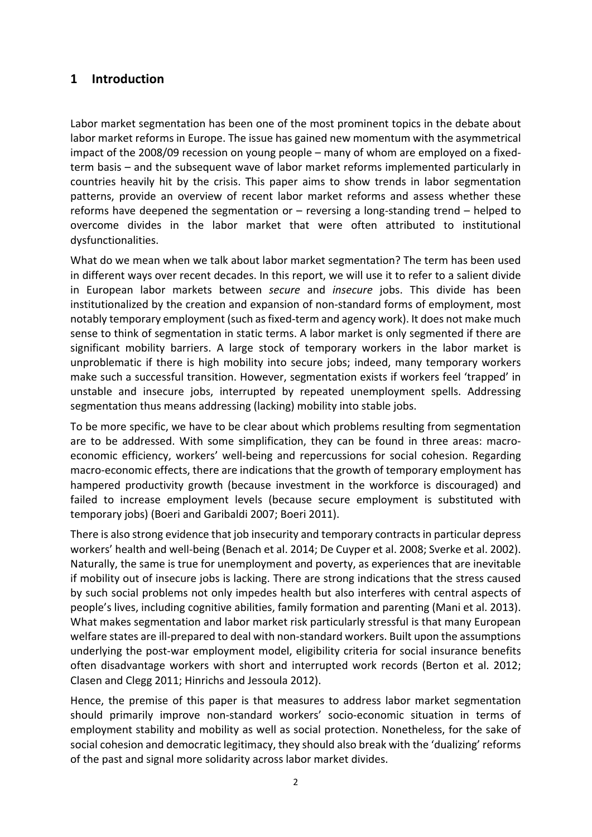## **1 Introduction**

Labor market segmentation has been one of the most prominent topics in the debate about labor market reforms in Europe. The issue has gained new momentum with the asymmetrical impact of the 2008/09 recession on young people – many of whom are employed on a fixed‐ term basis – and the subsequent wave of labor market reforms implemented particularly in countries heavily hit by the crisis. This paper aims to show trends in labor segmentation patterns, provide an overview of recent labor market reforms and assess whether these reforms have deepened the segmentation or – reversing a long‐standing trend – helped to overcome divides in the labor market that were often attributed to institutional dysfunctionalities.

What do we mean when we talk about labor market segmentation? The term has been used in different ways over recent decades. In this report, we will use it to refer to a salient divide in European labor markets between *secure* and *insecure* jobs. This divide has been institutionalized by the creation and expansion of non‐standard forms of employment, most notably temporary employment (such as fixed-term and agency work). It does not make much sense to think of segmentation in static terms. A labor market is only segmented if there are significant mobility barriers. A large stock of temporary workers in the labor market is unproblematic if there is high mobility into secure jobs; indeed, many temporary workers make such a successful transition. However, segmentation exists if workers feel 'trapped' in unstable and insecure jobs, interrupted by repeated unemployment spells. Addressing segmentation thus means addressing (lacking) mobility into stable jobs.

To be more specific, we have to be clear about which problems resulting from segmentation are to be addressed. With some simplification, they can be found in three areas: macroeconomic efficiency, workers' well‐being and repercussions for social cohesion. Regarding macro-economic effects, there are indications that the growth of temporary employment has hampered productivity growth (because investment in the workforce is discouraged) and failed to increase employment levels (because secure employment is substituted with temporary jobs) (Boeri and Garibaldi 2007; Boeri 2011).

There is also strong evidence that job insecurity and temporary contractsin particular depress workers' health and well‐being (Benach et al. 2014; De Cuyper et al. 2008; Sverke et al. 2002). Naturally, the same is true for unemployment and poverty, as experiences that are inevitable if mobility out of insecure jobs is lacking. There are strong indications that the stress caused by such social problems not only impedes health but also interferes with central aspects of people's lives, including cognitive abilities, family formation and parenting (Mani et al. 2013). What makes segmentation and labor market risk particularly stressful is that many European welfare states are ill-prepared to deal with non-standard workers. Built upon the assumptions underlying the post‐war employment model, eligibility criteria for social insurance benefits often disadvantage workers with short and interrupted work records (Berton et al. 2012; Clasen and Clegg 2011; Hinrichs and Jessoula 2012).

Hence, the premise of this paper is that measures to address labor market segmentation should primarily improve non‐standard workers' socio‐economic situation in terms of employment stability and mobility as well as social protection. Nonetheless, for the sake of social cohesion and democratic legitimacy, they should also break with the 'dualizing' reforms of the past and signal more solidarity across labor market divides.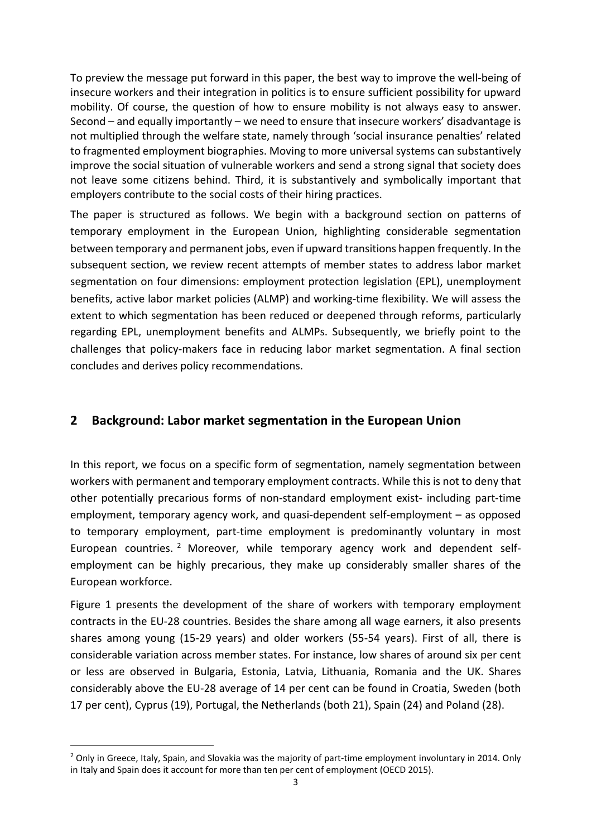To preview the message put forward in this paper, the best way to improve the well‐being of insecure workers and their integration in politics is to ensure sufficient possibility for upward mobility. Of course, the question of how to ensure mobility is not always easy to answer. Second – and equally importantly – we need to ensure that insecure workers' disadvantage is not multiplied through the welfare state, namely through 'social insurance penalties' related to fragmented employment biographies. Moving to more universal systems can substantively improve the social situation of vulnerable workers and send a strong signal that society does not leave some citizens behind. Third, it is substantively and symbolically important that employers contribute to the social costs of their hiring practices.

The paper is structured as follows. We begin with a background section on patterns of temporary employment in the European Union, highlighting considerable segmentation between temporary and permanent jobs, even if upward transitions happen frequently. In the subsequent section, we review recent attempts of member states to address labor market segmentation on four dimensions: employment protection legislation (EPL), unemployment benefits, active labor market policies (ALMP) and working‐time flexibility. We will assess the extent to which segmentation has been reduced or deepened through reforms, particularly regarding EPL, unemployment benefits and ALMPs. Subsequently, we briefly point to the challenges that policy‐makers face in reducing labor market segmentation. A final section concludes and derives policy recommendations.

# **2 Background: Labor market segmentation in the European Union**

In this report, we focus on a specific form of segmentation, namely segmentation between workers with permanent and temporary employment contracts. While this is not to deny that other potentially precarious forms of non-standard employment exist- including part-time employment, temporary agency work, and quasi‐dependent self‐employment – as opposed to temporary employment, part-time employment is predominantly voluntary in most European countries. <sup>2</sup> Moreover, while temporary agency work and dependent selfemployment can be highly precarious, they make up considerably smaller shares of the European workforce.

Figure 1 presents the development of the share of workers with temporary employment contracts in the EU‐28 countries. Besides the share among all wage earners, it also presents shares among young (15‐29 years) and older workers (55‐54 years). First of all, there is considerable variation across member states. For instance, low shares of around six per cent or less are observed in Bulgaria, Estonia, Latvia, Lithuania, Romania and the UK. Shares considerably above the EU‐28 average of 14 per cent can be found in Croatia, Sweden (both 17 per cent), Cyprus (19), Portugal, the Netherlands (both 21), Spain (24) and Poland (28).

<sup>&</sup>lt;sup>2</sup> Only in Greece, Italy, Spain, and Slovakia was the majority of part-time employment involuntary in 2014. Only in Italy and Spain does it account for more than ten per cent of employment (OECD 2015).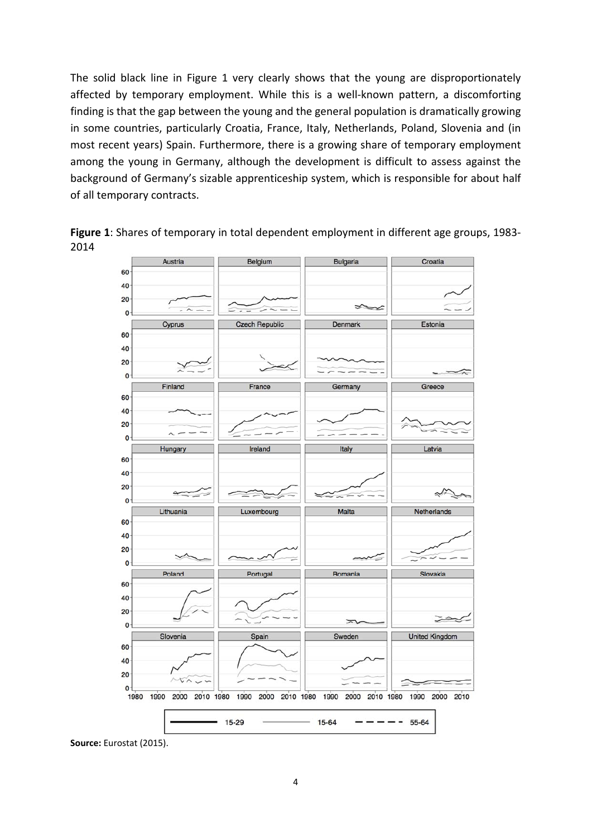The solid black line in Figure 1 very clearly shows that the young are disproportionately affected by temporary employment. While this is a well-known pattern, a discomforting finding is that the gap between the young and the general population is dramatically growing in some countries, particularly Croatia, France, Italy, Netherlands, Poland, Slovenia and (in most recent years) Spain. Furthermore, there is a growing share of temporary employment among the young in Germany, although the development is difficult to assess against the background of Germany's sizable apprenticeship system, which is responsible for about half of all temporary contracts.



**Figure 1**: Shares of temporary in total dependent employment in different age groups, 1983‐ 2014

**Source:** Eurostat (2015).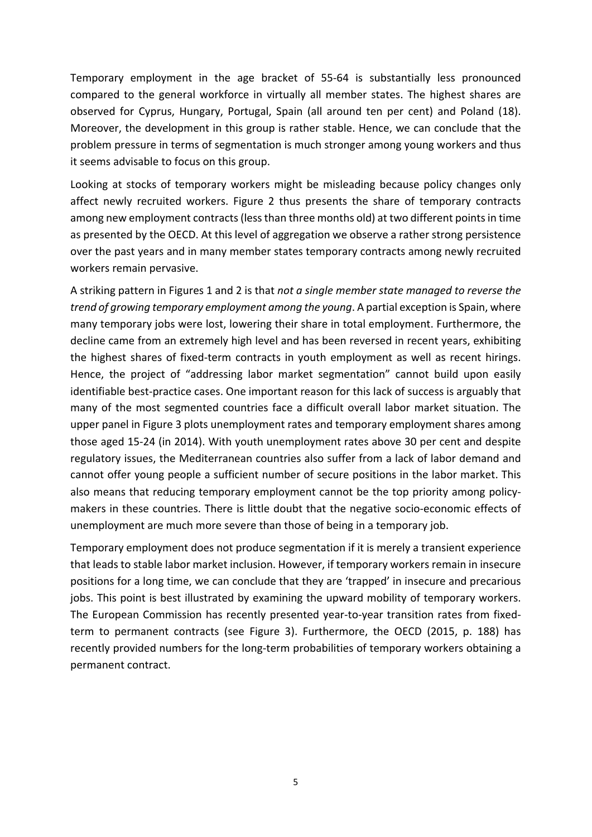Temporary employment in the age bracket of 55‐64 is substantially less pronounced compared to the general workforce in virtually all member states. The highest shares are observed for Cyprus, Hungary, Portugal, Spain (all around ten per cent) and Poland (18). Moreover, the development in this group is rather stable. Hence, we can conclude that the problem pressure in terms of segmentation is much stronger among young workers and thus it seems advisable to focus on this group.

Looking at stocks of temporary workers might be misleading because policy changes only affect newly recruited workers. Figure 2 thus presents the share of temporary contracts among new employment contracts (less than three months old) at two different points in time as presented by the OECD. At this level of aggregation we observe a rather strong persistence over the past years and in many member states temporary contracts among newly recruited workers remain pervasive.

A striking pattern in Figures 1 and 2 is that *not a single member state managed to reverse the trend of growing temporary employment among the young*. A partial exception is Spain, where many temporary jobs were lost, lowering their share in total employment. Furthermore, the decline came from an extremely high level and has been reversed in recent years, exhibiting the highest shares of fixed-term contracts in youth employment as well as recent hirings. Hence, the project of "addressing labor market segmentation" cannot build upon easily identifiable best-practice cases. One important reason for this lack of success is arguably that many of the most segmented countries face a difficult overall labor market situation. The upper panel in Figure 3 plots unemployment rates and temporary employment shares among those aged 15‐24 (in 2014). With youth unemployment rates above 30 per cent and despite regulatory issues, the Mediterranean countries also suffer from a lack of labor demand and cannot offer young people a sufficient number of secure positions in the labor market. This also means that reducing temporary employment cannot be the top priority among policy‐ makers in these countries. There is little doubt that the negative socio‐economic effects of unemployment are much more severe than those of being in a temporary job.

Temporary employment does not produce segmentation if it is merely a transient experience that leads to stable labor market inclusion. However, if temporary workers remain in insecure positions for a long time, we can conclude that they are 'trapped' in insecure and precarious jobs. This point is best illustrated by examining the upward mobility of temporary workers. The European Commission has recently presented year-to-year transition rates from fixedterm to permanent contracts (see Figure 3). Furthermore, the OECD (2015, p. 188) has recently provided numbers for the long-term probabilities of temporary workers obtaining a permanent contract.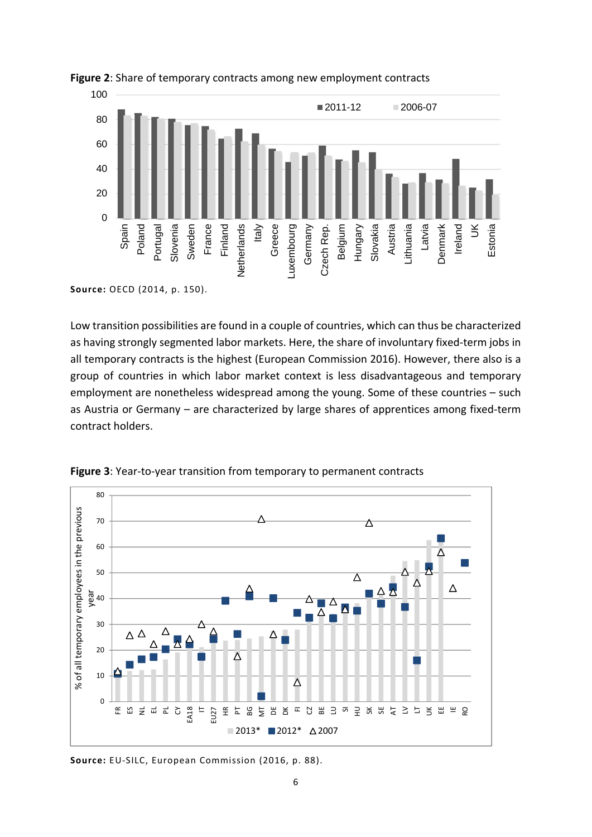

**Figure 2**: Share of temporary contracts among new employment contracts

**Source:** OECD (2014, p. 150).

Low transition possibilities are found in a couple of countries, which can thus be characterized as having strongly segmented labor markets. Here, the share of involuntary fixed-term jobs in all temporary contracts is the highest (European Commission 2016). However, there also is a group of countries in which labor market context is less disadvantageous and temporary employment are nonetheless widespread among the young. Some of these countries – such as Austria or Germany – are characterized by large shares of apprentices among fixed‐term contract holders.



**Figure 3**: Year‐to‐year transition from temporary to permanent contracts

**Source:** EU‐SILC, European Commission (2016, p. 88).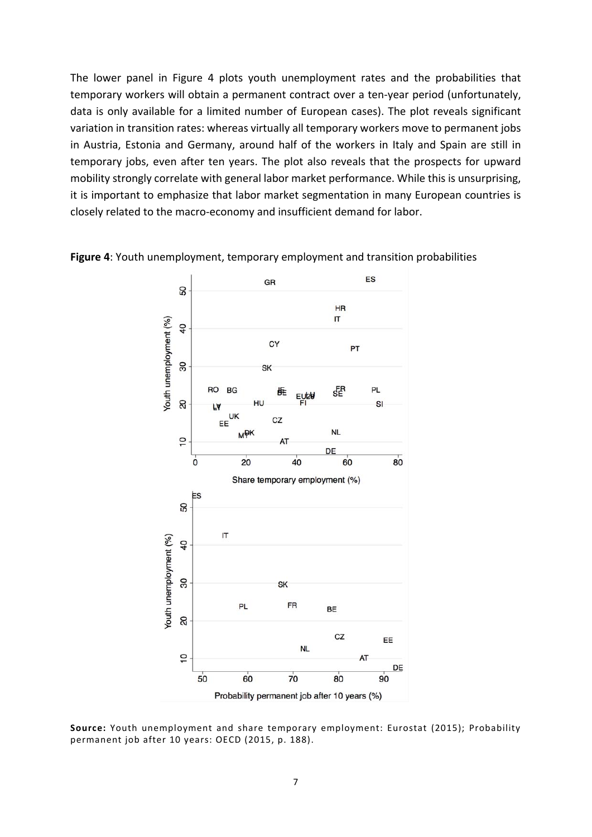The lower panel in Figure 4 plots youth unemployment rates and the probabilities that temporary workers will obtain a permanent contract over a ten‐year period (unfortunately, data is only available for a limited number of European cases). The plot reveals significant variation in transition rates: whereas virtually all temporary workers move to permanent jobs in Austria, Estonia and Germany, around half of the workers in Italy and Spain are still in temporary jobs, even after ten years. The plot also reveals that the prospects for upward mobility strongly correlate with general labor market performance. While this is unsurprising, it is important to emphasize that labor market segmentation in many European countries is closely related to the macro‐economy and insufficient demand for labor.



**Figure 4**: Youth unemployment, temporary employment and transition probabilities

**Source:** Youth unemployment and share temporary employment: Eurostat (2015); Probability permanent job after 10 years: OECD (2015, p. 188).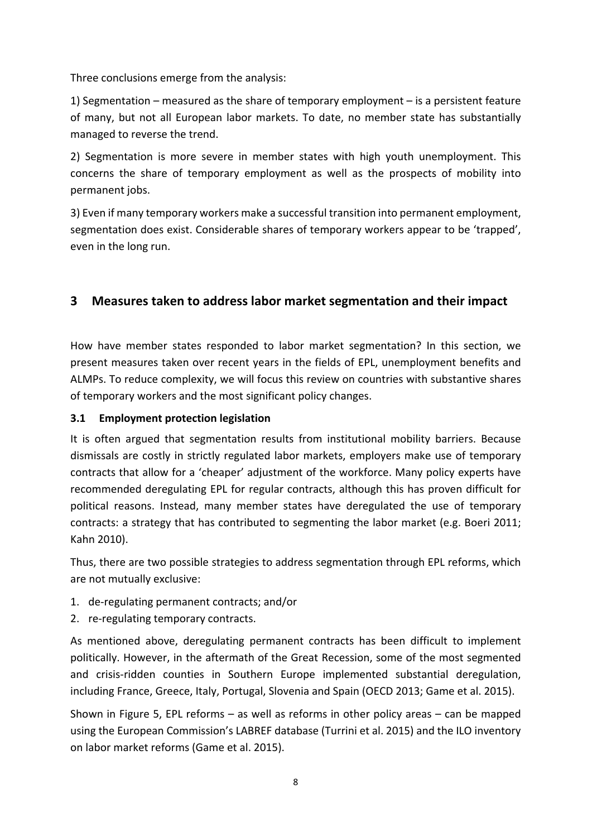Three conclusions emerge from the analysis:

1) Segmentation – measured as the share of temporary employment – is a persistent feature of many, but not all European labor markets. To date, no member state has substantially managed to reverse the trend.

2) Segmentation is more severe in member states with high youth unemployment. This concerns the share of temporary employment as well as the prospects of mobility into permanent jobs.

3) Even if many temporary workers make a successful transition into permanent employment, segmentation does exist. Considerable shares of temporary workers appear to be 'trapped', even in the long run.

# **3 Measures taken to address labor market segmentation and their impact**

How have member states responded to labor market segmentation? In this section, we present measures taken over recent years in the fields of EPL, unemployment benefits and ALMPs. To reduce complexity, we will focus this review on countries with substantive shares of temporary workers and the most significant policy changes.

#### **3.1 Employment protection legislation**

It is often argued that segmentation results from institutional mobility barriers. Because dismissals are costly in strictly regulated labor markets, employers make use of temporary contracts that allow for a 'cheaper' adjustment of the workforce. Many policy experts have recommended deregulating EPL for regular contracts, although this has proven difficult for political reasons. Instead, many member states have deregulated the use of temporary contracts: a strategy that has contributed to segmenting the labor market (e.g. Boeri 2011; Kahn 2010).

Thus, there are two possible strategies to address segmentation through EPL reforms, which are not mutually exclusive:

- 1. de‐regulating permanent contracts; and/or
- 2. re-regulating temporary contracts.

As mentioned above, deregulating permanent contracts has been difficult to implement politically. However, in the aftermath of the Great Recession, some of the most segmented and crisis-ridden counties in Southern Europe implemented substantial deregulation, including France, Greece, Italy, Portugal, Slovenia and Spain (OECD 2013; Game et al. 2015).

Shown in Figure 5, EPL reforms – as well as reforms in other policy areas – can be mapped using the European Commission's LABREF database (Turrini et al. 2015) and the ILO inventory on labor market reforms (Game et al. 2015).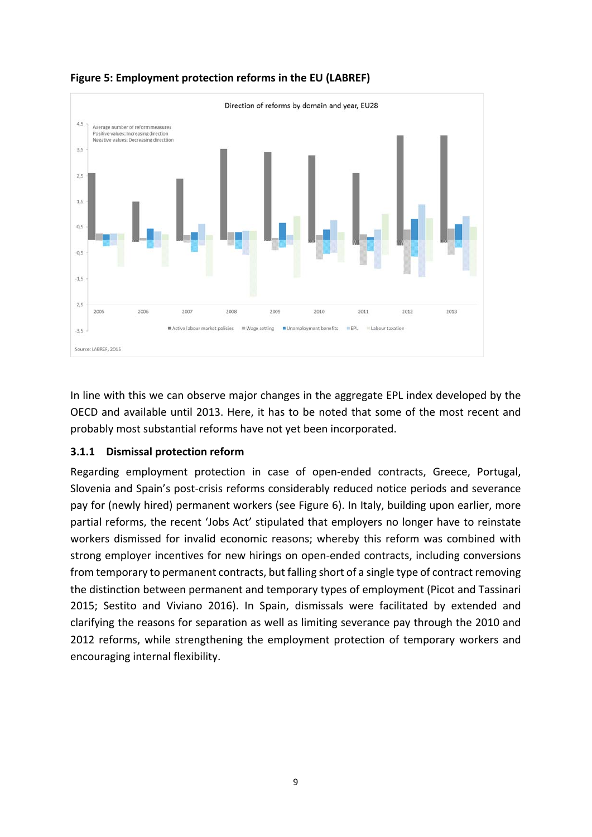

#### **Figure 5: Employment protection reforms in the EU (LABREF)**

In line with this we can observe major changes in the aggregate EPL index developed by the OECD and available until 2013. Here, it has to be noted that some of the most recent and probably most substantial reforms have not yet been incorporated.

#### **3.1.1 Dismissal protection reform**

Regarding employment protection in case of open-ended contracts, Greece, Portugal, Slovenia and Spain's post-crisis reforms considerably reduced notice periods and severance pay for (newly hired) permanent workers (see Figure 6). In Italy, building upon earlier, more partial reforms, the recent 'Jobs Act' stipulated that employers no longer have to reinstate workers dismissed for invalid economic reasons; whereby this reform was combined with strong employer incentives for new hirings on open‐ended contracts, including conversions from temporary to permanent contracts, but falling short of a single type of contract removing the distinction between permanent and temporary types of employment (Picot and Tassinari 2015; Sestito and Viviano 2016). In Spain, dismissals were facilitated by extended and clarifying the reasons for separation as well as limiting severance pay through the 2010 and 2012 reforms, while strengthening the employment protection of temporary workers and encouraging internal flexibility.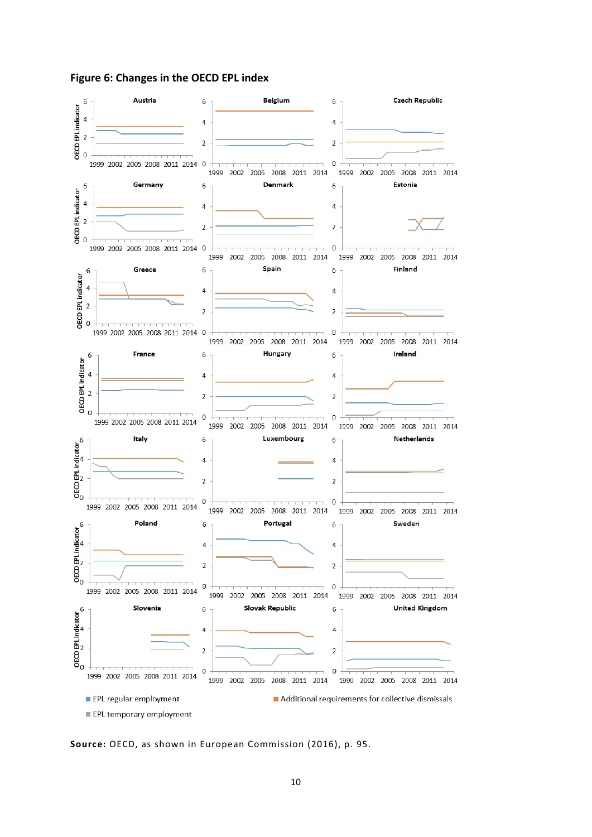



**Source:** OECD, as shown in European Commission (2016), p. 95.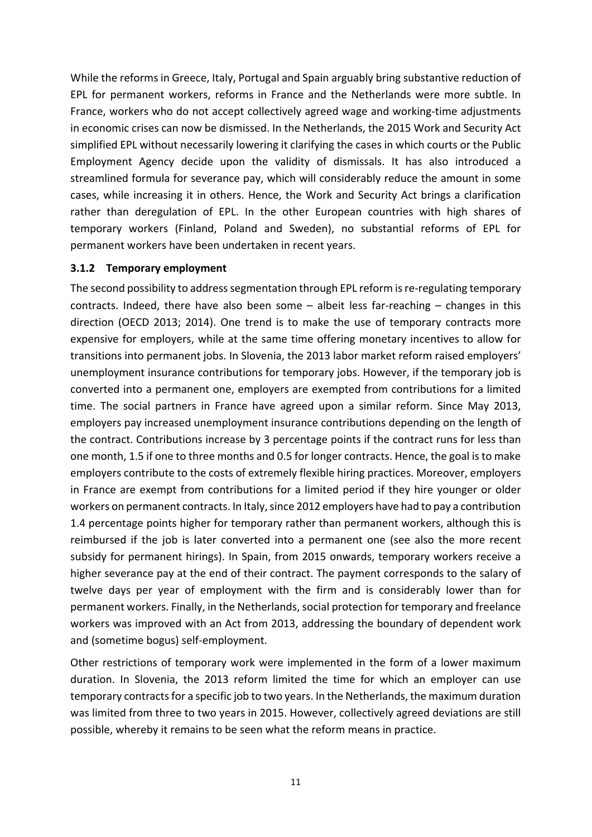While the reforms in Greece, Italy, Portugal and Spain arguably bring substantive reduction of EPL for permanent workers, reforms in France and the Netherlands were more subtle. In France, workers who do not accept collectively agreed wage and working-time adjustments in economic crises can now be dismissed. In the Netherlands, the 2015 Work and Security Act simplified EPL without necessarily lowering it clarifying the cases in which courts or the Public Employment Agency decide upon the validity of dismissals. It has also introduced a streamlined formula for severance pay, which will considerably reduce the amount in some cases, while increasing it in others. Hence, the Work and Security Act brings a clarification rather than deregulation of EPL. In the other European countries with high shares of temporary workers (Finland, Poland and Sweden), no substantial reforms of EPL for permanent workers have been undertaken in recent years.

#### **3.1.2 Temporary employment**

The second possibility to address segmentation through EPL reform is re-regulating temporary contracts. Indeed, there have also been some  $-$  albeit less far-reaching  $-$  changes in this direction (OECD 2013; 2014). One trend is to make the use of temporary contracts more expensive for employers, while at the same time offering monetary incentives to allow for transitions into permanent jobs. In Slovenia, the 2013 labor market reform raised employers' unemployment insurance contributions for temporary jobs. However, if the temporary job is converted into a permanent one, employers are exempted from contributions for a limited time. The social partners in France have agreed upon a similar reform. Since May 2013, employers pay increased unemployment insurance contributions depending on the length of the contract. Contributions increase by 3 percentage points if the contract runs for less than one month, 1.5 if one to three months and 0.5 for longer contracts. Hence, the goal isto make employers contribute to the costs of extremely flexible hiring practices. Moreover, employers in France are exempt from contributions for a limited period if they hire younger or older workers on permanent contracts. In Italy, since 2012 employers have had to pay a contribution 1.4 percentage points higher for temporary rather than permanent workers, although this is reimbursed if the job is later converted into a permanent one (see also the more recent subsidy for permanent hirings). In Spain, from 2015 onwards, temporary workers receive a higher severance pay at the end of their contract. The payment corresponds to the salary of twelve days per year of employment with the firm and is considerably lower than for permanent workers. Finally, in the Netherlands, social protection for temporary and freelance workers was improved with an Act from 2013, addressing the boundary of dependent work and (sometime bogus) self‐employment.

Other restrictions of temporary work were implemented in the form of a lower maximum duration. In Slovenia, the 2013 reform limited the time for which an employer can use temporary contracts for a specific job to two years. In the Netherlands, the maximum duration was limited from three to two years in 2015. However, collectively agreed deviations are still possible, whereby it remains to be seen what the reform means in practice.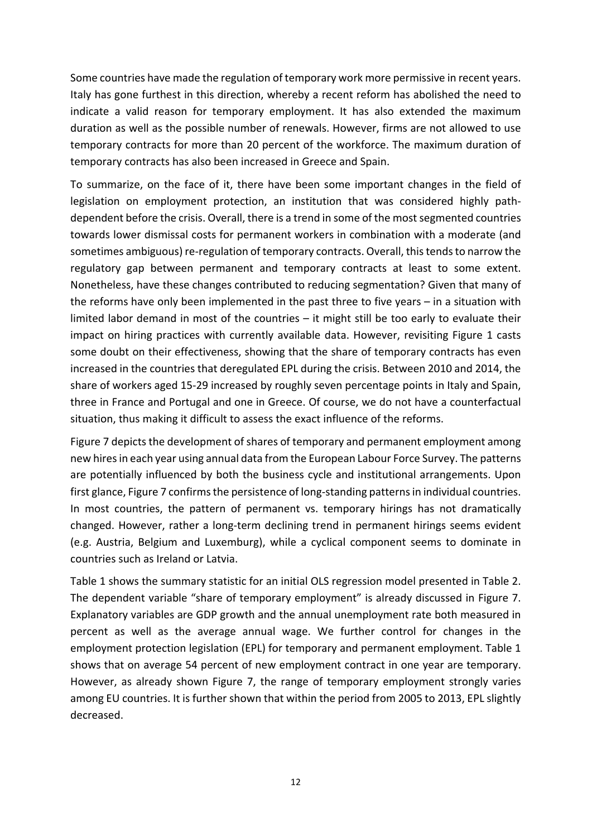Some countries have made the regulation of temporary work more permissive in recent years. Italy has gone furthest in this direction, whereby a recent reform has abolished the need to indicate a valid reason for temporary employment. It has also extended the maximum duration as well as the possible number of renewals. However, firms are not allowed to use temporary contracts for more than 20 percent of the workforce. The maximum duration of temporary contracts has also been increased in Greece and Spain.

To summarize, on the face of it, there have been some important changes in the field of legislation on employment protection, an institution that was considered highly path‐ dependent before the crisis. Overall, there is a trend in some of the mostsegmented countries towards lower dismissal costs for permanent workers in combination with a moderate (and sometimes ambiguous) re-regulation of temporary contracts. Overall, this tends to narrow the regulatory gap between permanent and temporary contracts at least to some extent. Nonetheless, have these changes contributed to reducing segmentation? Given that many of the reforms have only been implemented in the past three to five years – in a situation with limited labor demand in most of the countries – it might still be too early to evaluate their impact on hiring practices with currently available data. However, revisiting Figure 1 casts some doubt on their effectiveness, showing that the share of temporary contracts has even increased in the countries that deregulated EPL during the crisis. Between 2010 and 2014, the share of workers aged 15‐29 increased by roughly seven percentage points in Italy and Spain, three in France and Portugal and one in Greece. Of course, we do not have a counterfactual situation, thus making it difficult to assess the exact influence of the reforms.

Figure 7 depicts the development of shares of temporary and permanent employment among new hires in each year using annual data from the European Labour Force Survey. The patterns are potentially influenced by both the business cycle and institutional arrangements. Upon first glance, Figure 7 confirms the persistence of long-standing patterns in individual countries. In most countries, the pattern of permanent vs. temporary hirings has not dramatically changed. However, rather a long‐term declining trend in permanent hirings seems evident (e.g. Austria, Belgium and Luxemburg), while a cyclical component seems to dominate in countries such as Ireland or Latvia.

Table 1 shows the summary statistic for an initial OLS regression model presented in Table 2. The dependent variable "share of temporary employment" is already discussed in Figure 7. Explanatory variables are GDP growth and the annual unemployment rate both measured in percent as well as the average annual wage. We further control for changes in the employment protection legislation (EPL) for temporary and permanent employment. Table 1 shows that on average 54 percent of new employment contract in one year are temporary. However, as already shown Figure 7, the range of temporary employment strongly varies among EU countries. It is further shown that within the period from 2005 to 2013, EPL slightly decreased.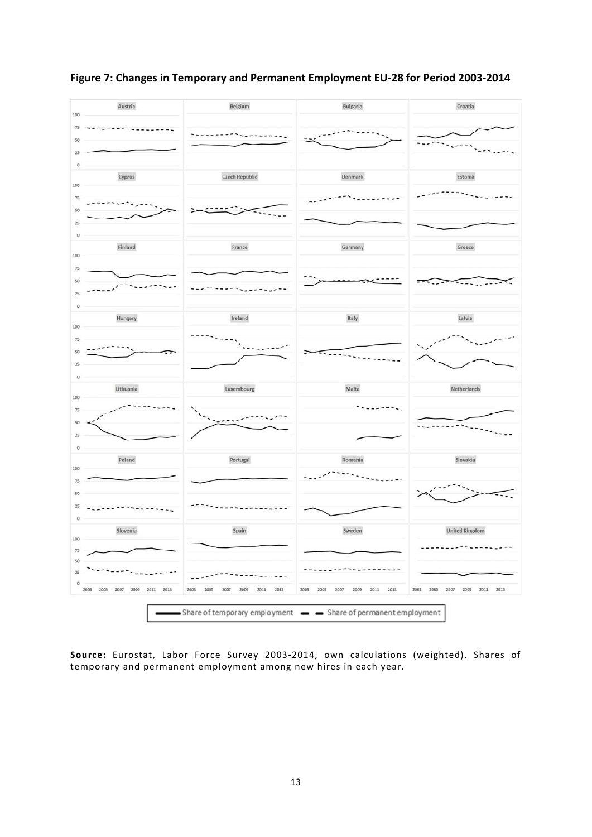



**Source:** Eurostat, Labor Force Survey 2003‐2014, own calculations (weighted). Shares of temporary and permanent employment among new hires in each year.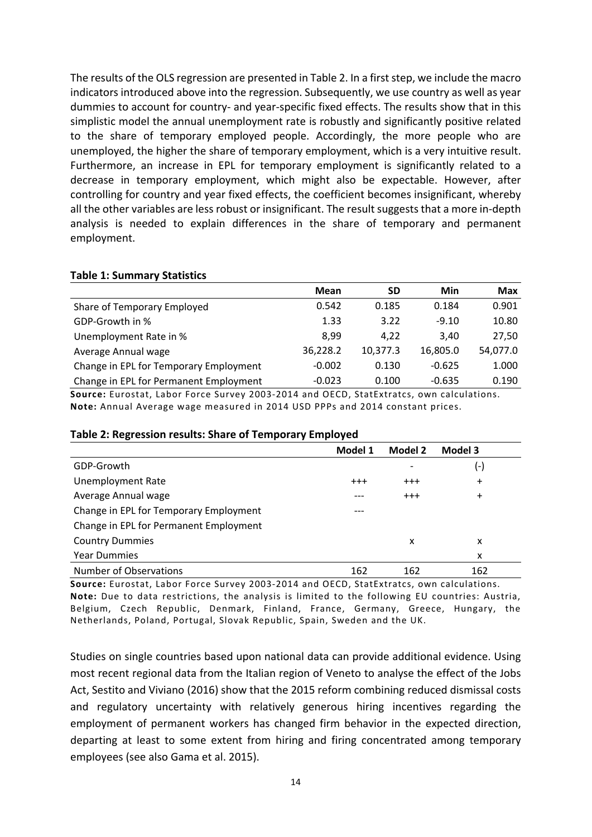The results of the OLS regression are presented in Table 2. In a first step, we include the macro indicators introduced above into the regression. Subsequently, we use country as well as year dummies to account for country‐ and year‐specific fixed effects. The results show that in this simplistic model the annual unemployment rate is robustly and significantly positive related to the share of temporary employed people. Accordingly, the more people who are unemployed, the higher the share of temporary employment, which is a very intuitive result. Furthermore, an increase in EPL for temporary employment is significantly related to a decrease in temporary employment, which might also be expectable. However, after controlling for country and year fixed effects, the coefficient becomes insignificant, whereby all the other variables are less robust or insignificant. The result suggests that a more in‐depth analysis is needed to explain differences in the share of temporary and permanent employment.

#### **Table 1: Summary Statistics**

|                                        | <b>Mean</b> | SD       | Min      | <b>Max</b> |
|----------------------------------------|-------------|----------|----------|------------|
| Share of Temporary Employed            | 0.542       | 0.185    | 0.184    | 0.901      |
| GDP-Growth in %                        | 1.33        | 3.22     | $-9.10$  | 10.80      |
| Unemployment Rate in %                 | 8.99        | 4.22     | 3,40     | 27,50      |
| Average Annual wage                    | 36.228.2    | 10,377.3 | 16,805.0 | 54,077.0   |
| Change in EPL for Temporary Employment | $-0.002$    | 0.130    | $-0.625$ | 1.000      |
| Change in EPL for Permanent Employment | $-0.023$    | 0.100    | $-0.635$ | 0.190      |

**Source:** Eurostat, Labor Force Survey 2003‐2014 and OECD, StatExtratcs, own calculations. **Note:** Annual Average wage measured in 2014 USD PPPs and 2014 constant prices.

|                                        | Model 1 | Model 2           | Model 3   |
|----------------------------------------|---------|-------------------|-----------|
| GDP-Growth                             |         | $\qquad \qquad -$ | (-)       |
| <b>Unemployment Rate</b>               | $+ + +$ | $+ + +$           | $\ddot{}$ |
| Average Annual wage                    |         | $^{+++}$          | $\ddot{}$ |
| Change in EPL for Temporary Employment |         |                   |           |
| Change in EPL for Permanent Employment |         |                   |           |
| <b>Country Dummies</b>                 |         | х                 | x         |
| <b>Year Dummies</b>                    |         |                   | x         |
| Number of Observations                 | 162     | 162               | 162       |

#### **Table 2: Regression results: Share of Temporary Employed**

**Source:** Eurostat, Labor Force Survey 2003‐2014 and OECD, StatExtratcs, own calculations. **Note:** Due to data restrictions, the analysis is limited to the following EU countries: Austria, Belgium, Czech Republic, Denmark, Finland, France, Germany, Greece, Hungary, the Netherlands, Poland, Portugal, Slovak Republic, Spain, Sweden and the UK.

Studies on single countries based upon national data can provide additional evidence. Using most recent regional data from the Italian region of Veneto to analyse the effect of the Jobs Act, Sestito and Viviano (2016) show that the 2015 reform combining reduced dismissal costs and regulatory uncertainty with relatively generous hiring incentives regarding the employment of permanent workers has changed firm behavior in the expected direction, departing at least to some extent from hiring and firing concentrated among temporary employees (see also Gama et al. 2015).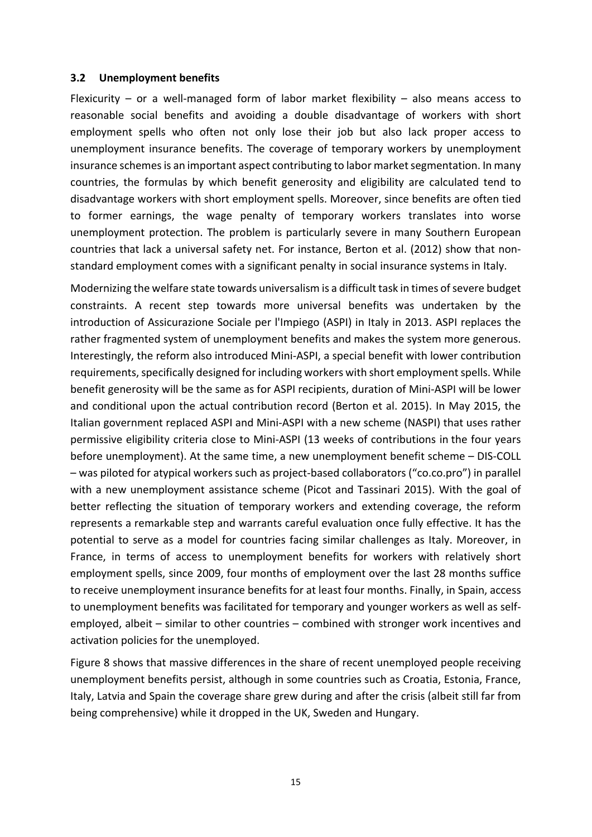#### **3.2 Unemployment benefits**

Flexicurity – or a well-managed form of labor market flexibility – also means access to reasonable social benefits and avoiding a double disadvantage of workers with short employment spells who often not only lose their job but also lack proper access to unemployment insurance benefits. The coverage of temporary workers by unemployment insurance schemes is an important aspect contributing to labor market segmentation. In many countries, the formulas by which benefit generosity and eligibility are calculated tend to disadvantage workers with short employment spells. Moreover, since benefits are often tied to former earnings, the wage penalty of temporary workers translates into worse unemployment protection. The problem is particularly severe in many Southern European countries that lack a universal safety net. For instance, Berton et al. (2012) show that non‐ standard employment comes with a significant penalty in social insurance systems in Italy.

Modernizing the welfare state towards universalism is a difficult task in times of severe budget constraints. A recent step towards more universal benefits was undertaken by the introduction of Assicurazione Sociale per l'Impiego (ASPI) in Italy in 2013. ASPI replaces the rather fragmented system of unemployment benefits and makes the system more generous. Interestingly, the reform also introduced Mini‐ASPI, a special benefit with lower contribution requirements, specifically designed for including workers with short employment spells. While benefit generosity will be the same as for ASPI recipients, duration of Mini‐ASPI will be lower and conditional upon the actual contribution record (Berton et al. 2015). In May 2015, the Italian government replaced ASPI and Mini‐ASPI with a new scheme (NASPI) that uses rather permissive eligibility criteria close to Mini‐ASPI (13 weeks of contributions in the four years before unemployment). At the same time, a new unemployment benefit scheme – DIS‐COLL – was piloted for atypical workers such as project‐based collaborators ("co.co.pro") in parallel with a new unemployment assistance scheme (Picot and Tassinari 2015). With the goal of better reflecting the situation of temporary workers and extending coverage, the reform represents a remarkable step and warrants careful evaluation once fully effective. It has the potential to serve as a model for countries facing similar challenges as Italy. Moreover, in France, in terms of access to unemployment benefits for workers with relatively short employment spells, since 2009, four months of employment over the last 28 months suffice to receive unemployment insurance benefits for at least four months. Finally, in Spain, access to unemployment benefits was facilitated for temporary and younger workers as well as self‐ employed, albeit – similar to other countries – combined with stronger work incentives and activation policies for the unemployed.

Figure 8 shows that massive differences in the share of recent unemployed people receiving unemployment benefits persist, although in some countries such as Croatia, Estonia, France, Italy, Latvia and Spain the coverage share grew during and after the crisis (albeit still far from being comprehensive) while it dropped in the UK, Sweden and Hungary.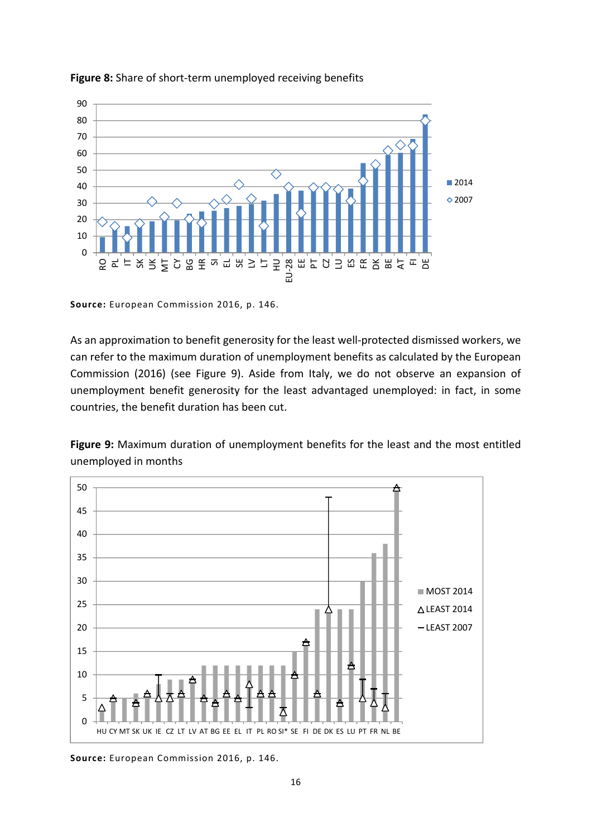

#### **Figure 8:** Share of short‐term unemployed receiving benefits

**Source:** European Commission 2016, p. 146.

As an approximation to benefit generosity for the least well‐protected dismissed workers, we can refer to the maximum duration of unemployment benefits as calculated by the European Commission (2016) (see Figure 9). Aside from Italy, we do not observe an expansion of unemployment benefit generosity for the least advantaged unemployed: in fact, in some countries, the benefit duration has been cut.

**Figure 9:** Maximum duration of unemployment benefits for the least and the most entitled unemployed in months



**Source:** European Commission 2016, p. 146.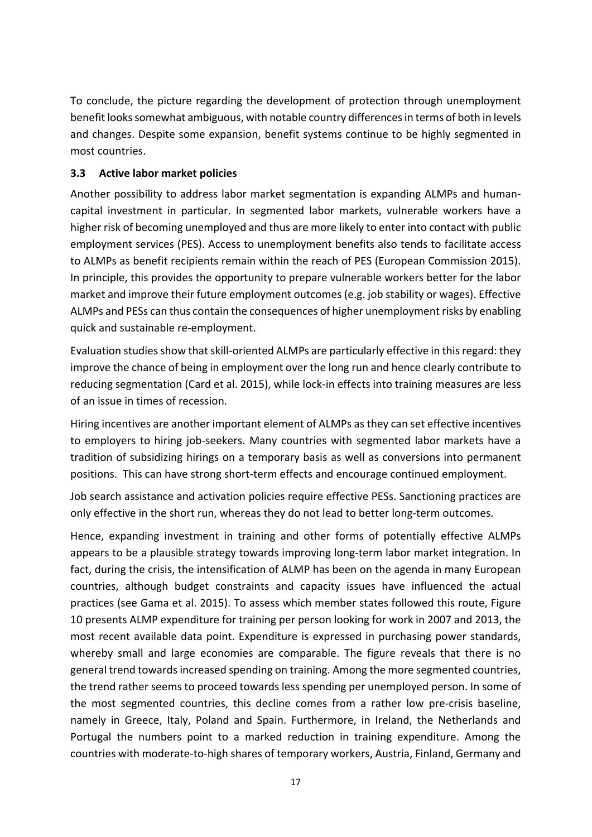To conclude, the picture regarding the development of protection through unemployment benefit looks somewhat ambiguous, with notable country differences in terms of both in levels and changes. Despite some expansion, benefit systems continue to be highly segmented in most countries.

## **3.3 Active labor market policies**

Another possibility to address labor market segmentation is expanding ALMPs and human‐ capital investment in particular. In segmented labor markets, vulnerable workers have a higher risk of becoming unemployed and thus are more likely to enter into contact with public employment services (PES). Access to unemployment benefits also tends to facilitate access to ALMPs as benefit recipients remain within the reach of PES (European Commission 2015). In principle, this provides the opportunity to prepare vulnerable workers better for the labor market and improve their future employment outcomes (e.g. job stability or wages). Effective ALMPs and PESs can thus contain the consequences of higher unemployment risks by enabling quick and sustainable re‐employment.

Evaluation studies show that skill-oriented ALMPs are particularly effective in this regard: they improve the chance of being in employment over the long run and hence clearly contribute to reducing segmentation (Card et al. 2015), while lock‐in effects into training measures are less of an issue in times of recession.

Hiring incentives are another important element of ALMPs as they can set effective incentives to employers to hiring job-seekers. Many countries with segmented labor markets have a tradition of subsidizing hirings on a temporary basis as well as conversions into permanent positions. This can have strong short‐term effects and encourage continued employment.

Job search assistance and activation policies require effective PESs. Sanctioning practices are only effective in the short run, whereas they do not lead to better long-term outcomes.

Hence, expanding investment in training and other forms of potentially effective ALMPs appears to be a plausible strategy towards improving long‐term labor market integration. In fact, during the crisis, the intensification of ALMP has been on the agenda in many European countries, although budget constraints and capacity issues have influenced the actual practices (see Gama et al. 2015). To assess which member states followed this route, Figure 10 presents ALMP expenditure for training per person looking for work in 2007 and 2013, the most recent available data point. Expenditure is expressed in purchasing power standards, whereby small and large economies are comparable. The figure reveals that there is no general trend towards increased spending on training. Among the more segmented countries, the trend rather seems to proceed towards less spending per unemployed person. In some of the most segmented countries, this decline comes from a rather low pre‐crisis baseline, namely in Greece, Italy, Poland and Spain. Furthermore, in Ireland, the Netherlands and Portugal the numbers point to a marked reduction in training expenditure. Among the countries with moderate‐to‐high shares of temporary workers, Austria, Finland, Germany and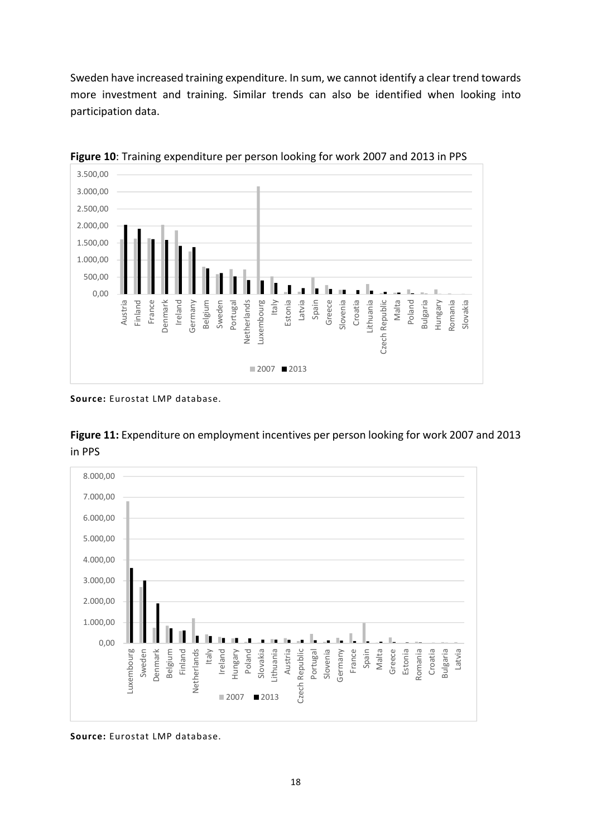Sweden have increased training expenditure. In sum, we cannot identify a clear trend towards more investment and training. Similar trends can also be identified when looking into participation data.



**Figure 10**: Training expenditure per person looking for work 2007 and 2013 in PPS

**Source:** Eurostat LMP database.





**Source:** Eurostat LMP database.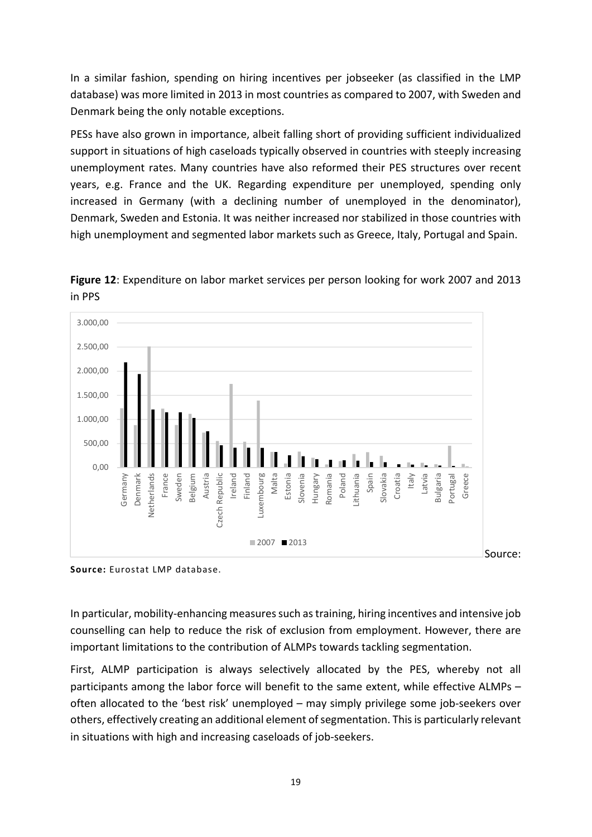In a similar fashion, spending on hiring incentives per jobseeker (as classified in the LMP database) was more limited in 2013 in most countries as compared to 2007, with Sweden and Denmark being the only notable exceptions.

PESs have also grown in importance, albeit falling short of providing sufficient individualized support in situations of high caseloads typically observed in countries with steeply increasing unemployment rates. Many countries have also reformed their PES structures over recent years, e.g. France and the UK. Regarding expenditure per unemployed, spending only increased in Germany (with a declining number of unemployed in the denominator), Denmark, Sweden and Estonia. It was neither increased nor stabilized in those countries with high unemployment and segmented labor markets such as Greece, Italy, Portugal and Spain.





**Source:** Eurostat LMP database.

In particular, mobility-enhancing measures such as training, hiring incentives and intensive job counselling can help to reduce the risk of exclusion from employment. However, there are important limitations to the contribution of ALMPs towards tackling segmentation.

First, ALMP participation is always selectively allocated by the PES, whereby not all participants among the labor force will benefit to the same extent, while effective ALMPs – often allocated to the 'best risk' unemployed – may simply privilege some job-seekers over others, effectively creating an additional element of segmentation. This is particularly relevant in situations with high and increasing caseloads of job-seekers.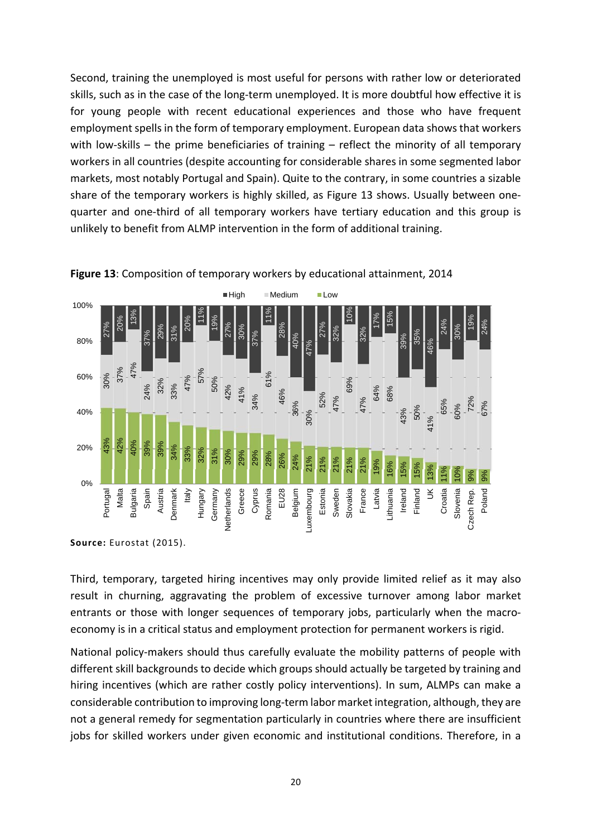Second, training the unemployed is most useful for persons with rather low or deteriorated skills, such as in the case of the long-term unemployed. It is more doubtful how effective it is for young people with recent educational experiences and those who have frequent employment spells in the form of temporary employment. European data shows that workers with low-skills – the prime beneficiaries of training – reflect the minority of all temporary workers in all countries (despite accounting for considerable shares in some segmented labor markets, most notably Portugal and Spain). Quite to the contrary, in some countries a sizable share of the temporary workers is highly skilled, as Figure 13 shows. Usually between one‐ quarter and one‐third of all temporary workers have tertiary education and this group is unlikely to benefit from ALMP intervention in the form of additional training.



**Figure 13**: Composition of temporary workers by educational attainment, 2014

**Source:** Eurostat (2015).

Third, temporary, targeted hiring incentives may only provide limited relief as it may also result in churning, aggravating the problem of excessive turnover among labor market entrants or those with longer sequences of temporary jobs, particularly when the macroeconomy is in a critical status and employment protection for permanent workers is rigid.

National policy‐makers should thus carefully evaluate the mobility patterns of people with different skill backgrounds to decide which groups should actually be targeted by training and hiring incentives (which are rather costly policy interventions). In sum, ALMPs can make a considerable contribution to improving long‐term labor market integration, although, they are not a general remedy for segmentation particularly in countries where there are insufficient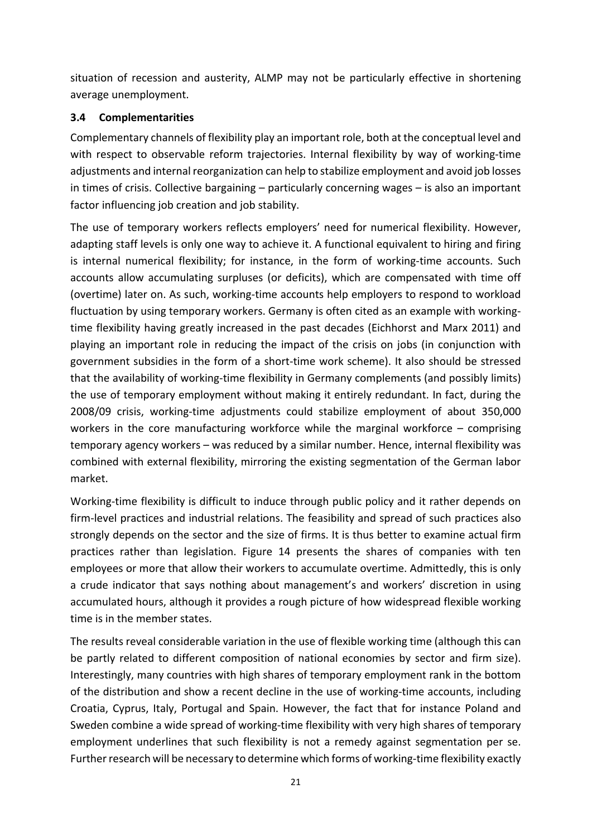situation of recession and austerity, ALMP may not be particularly effective in shortening average unemployment.

## **3.4 Complementarities**

Complementary channels of flexibility play an important role, both at the conceptual level and with respect to observable reform trajectories. Internal flexibility by way of working-time adjustments and internal reorganization can help to stabilize employment and avoid job losses in times of crisis. Collective bargaining – particularly concerning wages – is also an important factor influencing job creation and job stability.

The use of temporary workers reflects employers' need for numerical flexibility. However, adapting staff levels is only one way to achieve it. A functional equivalent to hiring and firing is internal numerical flexibility; for instance, in the form of working-time accounts. Such accounts allow accumulating surpluses (or deficits), which are compensated with time off (overtime) later on. As such, working‐time accounts help employers to respond to workload fluctuation by using temporary workers. Germany is often cited as an example with working‐ time flexibility having greatly increased in the past decades (Eichhorst and Marx 2011) and playing an important role in reducing the impact of the crisis on jobs (in conjunction with government subsidies in the form of a short-time work scheme). It also should be stressed that the availability of working‐time flexibility in Germany complements (and possibly limits) the use of temporary employment without making it entirely redundant. In fact, during the 2008/09 crisis, working‐time adjustments could stabilize employment of about 350,000 workers in the core manufacturing workforce while the marginal workforce – comprising temporary agency workers – was reduced by a similar number. Hence, internal flexibility was combined with external flexibility, mirroring the existing segmentation of the German labor market.

Working-time flexibility is difficult to induce through public policy and it rather depends on firm-level practices and industrial relations. The feasibility and spread of such practices also strongly depends on the sector and the size of firms. It is thus better to examine actual firm practices rather than legislation. Figure 14 presents the shares of companies with ten employees or more that allow their workers to accumulate overtime. Admittedly, this is only a crude indicator that says nothing about management's and workers' discretion in using accumulated hours, although it provides a rough picture of how widespread flexible working time is in the member states.

The results reveal considerable variation in the use of flexible working time (although this can be partly related to different composition of national economies by sector and firm size). Interestingly, many countries with high shares of temporary employment rank in the bottom of the distribution and show a recent decline in the use of working‐time accounts, including Croatia, Cyprus, Italy, Portugal and Spain. However, the fact that for instance Poland and Sweden combine a wide spread of working-time flexibility with very high shares of temporary employment underlines that such flexibility is not a remedy against segmentation per se. Further research will be necessary to determine which forms of working-time flexibility exactly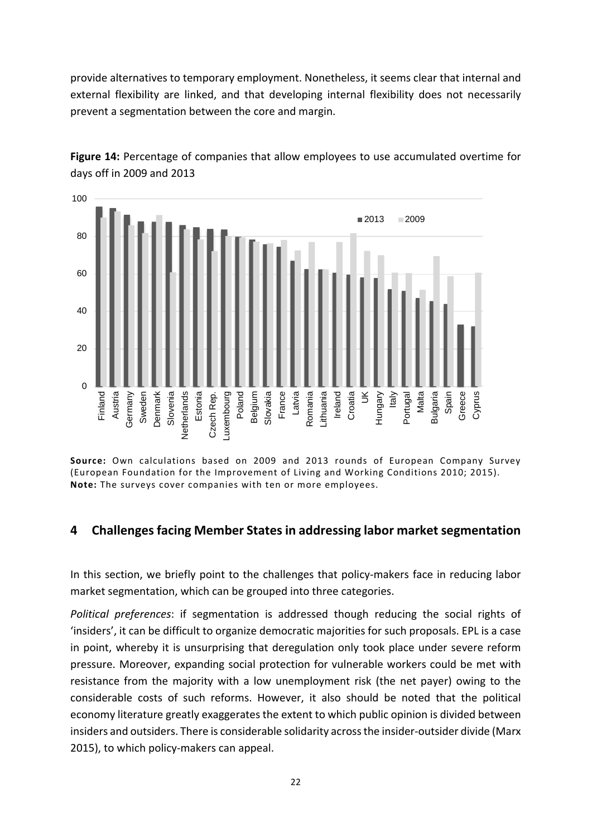provide alternatives to temporary employment. Nonetheless, it seems clear that internal and external flexibility are linked, and that developing internal flexibility does not necessarily prevent a segmentation between the core and margin.



**Figure 14:** Percentage of companies that allow employees to use accumulated overtime for days off in 2009 and 2013

Source: Own calculations based on 2009 and 2013 rounds of European Company Survey (European Foundation for the Improvement of Living and Working Conditions 2010; 2015). **Note:** The surveys cover companies with ten or more employees.

## **4 Challengesfacing Member Statesin addressing labor marketsegmentation**

In this section, we briefly point to the challenges that policy‐makers face in reducing labor market segmentation, which can be grouped into three categories.

*Political preferences*: if segmentation is addressed though reducing the social rights of 'insiders', it can be difficult to organize democratic majorities for such proposals. EPL is a case in point, whereby it is unsurprising that deregulation only took place under severe reform pressure. Moreover, expanding social protection for vulnerable workers could be met with resistance from the majority with a low unemployment risk (the net payer) owing to the considerable costs of such reforms. However, it also should be noted that the political economy literature greatly exaggerates the extent to which public opinion is divided between insiders and outsiders. There is considerable solidarity acrossthe insider‐outsider divide (Marx 2015), to which policy‐makers can appeal.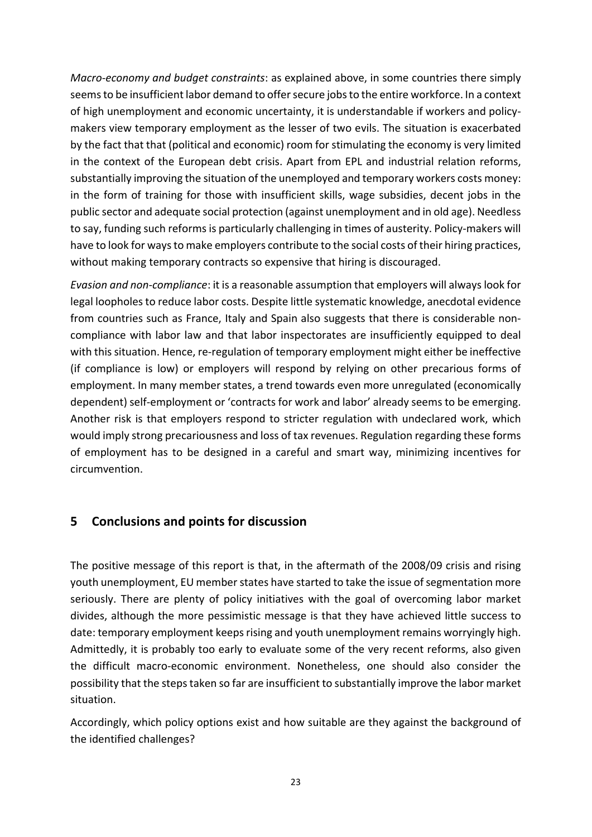*Macro‐economy and budget constraints*: as explained above, in some countries there simply seems to be insufficient labor demand to offer secure jobs to the entire workforce. In a context of high unemployment and economic uncertainty, it is understandable if workers and policy‐ makers view temporary employment as the lesser of two evils. The situation is exacerbated by the fact that that (political and economic) room for stimulating the economy is very limited in the context of the European debt crisis. Apart from EPL and industrial relation reforms, substantially improving the situation of the unemployed and temporary workers costs money: in the form of training for those with insufficient skills, wage subsidies, decent jobs in the public sector and adequate social protection (against unemployment and in old age). Needless to say, funding such reformsis particularly challenging in times of austerity. Policy‐makers will have to look for waysto make employers contribute to the social costs of their hiring practices, without making temporary contracts so expensive that hiring is discouraged.

*Evasion and non‐compliance*: it is a reasonable assumption that employers will alwayslook for legal loopholes to reduce labor costs. Despite little systematic knowledge, anecdotal evidence from countries such as France, Italy and Spain also suggests that there is considerable noncompliance with labor law and that labor inspectorates are insufficiently equipped to deal with this situation. Hence, re-regulation of temporary employment might either be ineffective (if compliance is low) or employers will respond by relying on other precarious forms of employment. In many member states, a trend towards even more unregulated (economically dependent) self‐employment or 'contracts for work and labor' already seems to be emerging. Another risk is that employers respond to stricter regulation with undeclared work, which would imply strong precariousness and loss of tax revenues. Regulation regarding these forms of employment has to be designed in a careful and smart way, minimizing incentives for circumvention.

# **5 Conclusions and points for discussion**

The positive message of this report is that, in the aftermath of the 2008/09 crisis and rising youth unemployment, EU member states have started to take the issue of segmentation more seriously. There are plenty of policy initiatives with the goal of overcoming labor market divides, although the more pessimistic message is that they have achieved little success to date: temporary employment keeps rising and youth unemployment remains worryingly high. Admittedly, it is probably too early to evaluate some of the very recent reforms, also given the difficult macro‐economic environment. Nonetheless, one should also consider the possibility that the stepstaken so far are insufficient to substantially improve the labor market situation.

Accordingly, which policy options exist and how suitable are they against the background of the identified challenges?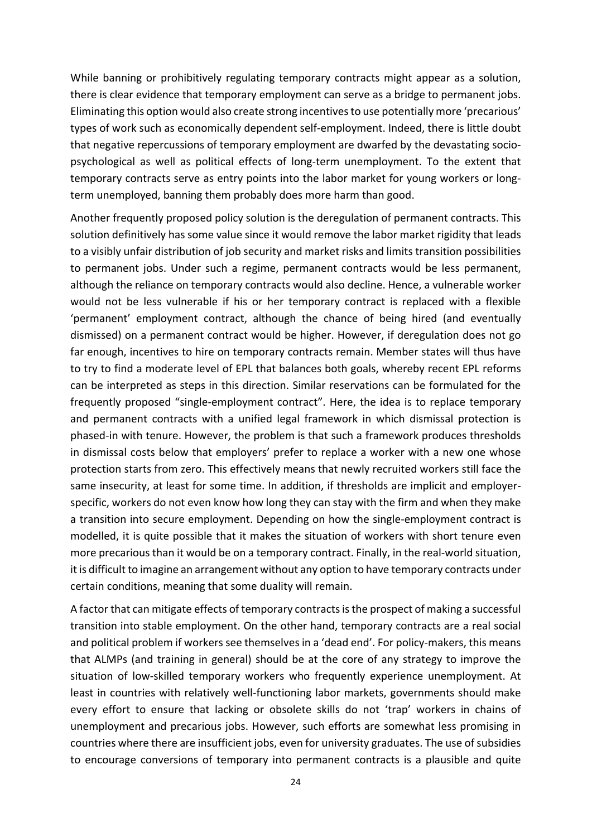While banning or prohibitively regulating temporary contracts might appear as a solution, there is clear evidence that temporary employment can serve as a bridge to permanent jobs. Eliminating this option would also create strong incentivesto use potentially more 'precarious' types of work such as economically dependent self‐employment. Indeed, there is little doubt that negative repercussions of temporary employment are dwarfed by the devastating socio‐ psychological as well as political effects of long‐term unemployment. To the extent that temporary contracts serve as entry points into the labor market for young workers or long‐ term unemployed, banning them probably does more harm than good.

Another frequently proposed policy solution is the deregulation of permanent contracts. This solution definitively has some value since it would remove the labor market rigidity that leads to a visibly unfair distribution of job security and market risks and limits transition possibilities to permanent jobs. Under such a regime, permanent contracts would be less permanent, although the reliance on temporary contracts would also decline. Hence, a vulnerable worker would not be less vulnerable if his or her temporary contract is replaced with a flexible 'permanent' employment contract, although the chance of being hired (and eventually dismissed) on a permanent contract would be higher. However, if deregulation does not go far enough, incentives to hire on temporary contracts remain. Member states will thus have to try to find a moderate level of EPL that balances both goals, whereby recent EPL reforms can be interpreted as steps in this direction. Similar reservations can be formulated for the frequently proposed "single‐employment contract". Here, the idea is to replace temporary and permanent contracts with a unified legal framework in which dismissal protection is phased‐in with tenure. However, the problem is that such a framework produces thresholds in dismissal costs below that employers' prefer to replace a worker with a new one whose protection starts from zero. This effectively means that newly recruited workers still face the same insecurity, at least for some time. In addition, if thresholds are implicit and employer‐ specific, workers do not even know how long they can stay with the firm and when they make a transition into secure employment. Depending on how the single-employment contract is modelled, it is quite possible that it makes the situation of workers with short tenure even more precarious than it would be on a temporary contract. Finally, in the real-world situation, it is difficult to imagine an arrangement without any option to have temporary contracts under certain conditions, meaning that some duality will remain.

A factor that can mitigate effects of temporary contractsisthe prospect of making a successful transition into stable employment. On the other hand, temporary contracts are a real social and political problem if workers see themselves in a 'dead end'. For policy-makers, this means that ALMPs (and training in general) should be at the core of any strategy to improve the situation of low‐skilled temporary workers who frequently experience unemployment. At least in countries with relatively well-functioning labor markets, governments should make every effort to ensure that lacking or obsolete skills do not 'trap' workers in chains of unemployment and precarious jobs. However, such efforts are somewhat less promising in countries where there are insufficient jobs, even for university graduates. The use of subsidies to encourage conversions of temporary into permanent contracts is a plausible and quite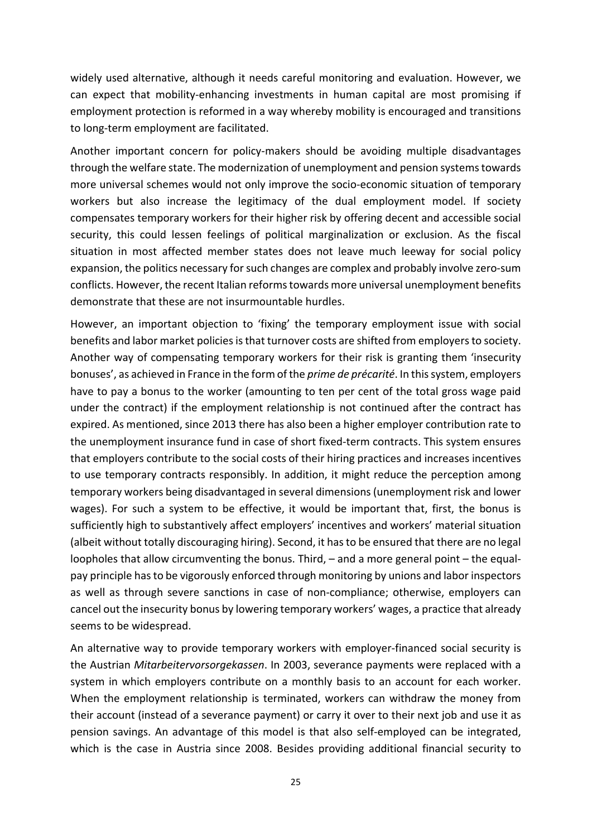widely used alternative, although it needs careful monitoring and evaluation. However, we can expect that mobility‐enhancing investments in human capital are most promising if employment protection is reformed in a way whereby mobility is encouraged and transitions to long‐term employment are facilitated.

Another important concern for policy‐makers should be avoiding multiple disadvantages through the welfare state. The modernization of unemployment and pension systemstowards more universal schemes would not only improve the socio-economic situation of temporary workers but also increase the legitimacy of the dual employment model. If society compensates temporary workers for their higher risk by offering decent and accessible social security, this could lessen feelings of political marginalization or exclusion. As the fiscal situation in most affected member states does not leave much leeway for social policy expansion, the politics necessary for such changes are complex and probably involve zero-sum conflicts. However, the recent Italian reformstowards more universal unemployment benefits demonstrate that these are not insurmountable hurdles.

However, an important objection to 'fixing' the temporary employment issue with social benefits and labor market policies is that turnover costs are shifted from employers to society. Another way of compensating temporary workers for their risk is granting them 'insecurity bonuses', as achieved in France in the form of the *prime de précarité*. In thissystem, employers have to pay a bonus to the worker (amounting to ten per cent of the total gross wage paid under the contract) if the employment relationship is not continued after the contract has expired. As mentioned, since 2013 there has also been a higher employer contribution rate to the unemployment insurance fund in case of short fixed‐term contracts. This system ensures that employers contribute to the social costs of their hiring practices and increases incentives to use temporary contracts responsibly. In addition, it might reduce the perception among temporary workers being disadvantaged in several dimensions(unemployment risk and lower wages). For such a system to be effective, it would be important that, first, the bonus is sufficiently high to substantively affect employers' incentives and workers' material situation (albeit without totally discouraging hiring). Second, it hasto be ensured that there are no legal loopholes that allow circumventing the bonus. Third, – and a more general point – the equalpay principle hasto be vigorously enforced through monitoring by unions and labor inspectors as well as through severe sanctions in case of non‐compliance; otherwise, employers can cancel out the insecurity bonus by lowering temporary workers' wages, a practice that already seems to be widespread.

An alternative way to provide temporary workers with employer-financed social security is the Austrian *Mitarbeitervorsorgekassen*. In 2003, severance payments were replaced with a system in which employers contribute on a monthly basis to an account for each worker. When the employment relationship is terminated, workers can withdraw the money from their account (instead of a severance payment) or carry it over to their next job and use it as pension savings. An advantage of this model is that also self-employed can be integrated, which is the case in Austria since 2008. Besides providing additional financial security to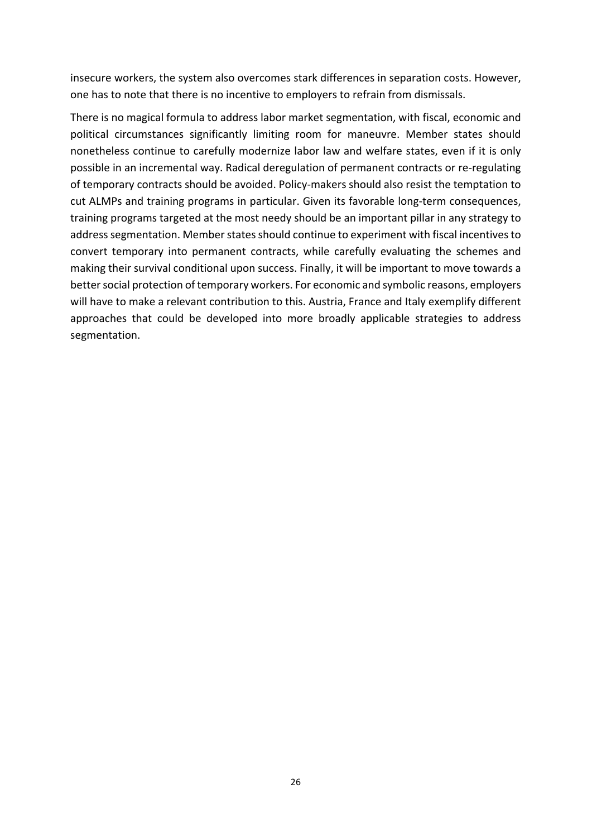insecure workers, the system also overcomes stark differences in separation costs. However, one has to note that there is no incentive to employers to refrain from dismissals.

There is no magical formula to address labor market segmentation, with fiscal, economic and political circumstances significantly limiting room for maneuvre. Member states should nonetheless continue to carefully modernize labor law and welfare states, even if it is only possible in an incremental way. Radical deregulation of permanent contracts or re‐regulating of temporary contracts should be avoided. Policy-makers should also resist the temptation to cut ALMPs and training programs in particular. Given its favorable long‐term consequences, training programs targeted at the most needy should be an important pillar in any strategy to address segmentation. Member states should continue to experiment with fiscal incentives to convert temporary into permanent contracts, while carefully evaluating the schemes and making their survival conditional upon success. Finally, it will be important to move towards a better social protection of temporary workers. For economic and symbolic reasons, employers will have to make a relevant contribution to this. Austria, France and Italy exemplify different approaches that could be developed into more broadly applicable strategies to address segmentation.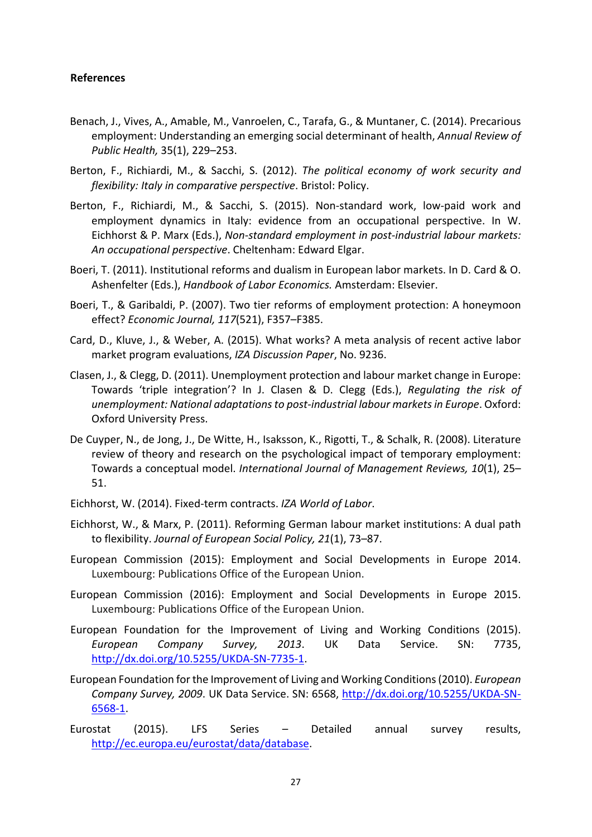#### **References**

- Benach, J., Vives, A., Amable, M., Vanroelen, C., Tarafa, G., & Muntaner, C. (2014). Precarious employment: Understanding an emerging social determinant of health, *Annual Review of Public Health,* 35(1), 229–253.
- Berton, F., Richiardi, M., & Sacchi, S. (2012). *The political economy of work security and flexibility: Italy in comparative perspective*. Bristol: Policy.
- Berton, F., Richiardi, M., & Sacchi, S. (2015). Non‐standard work, low‐paid work and employment dynamics in Italy: evidence from an occupational perspective. In W. Eichhorst & P. Marx (Eds.), *Non‐standard employment in post‐industrial labour markets: An occupational perspective*. Cheltenham: Edward Elgar.
- Boeri, T. (2011). Institutional reforms and dualism in European labor markets. In D. Card & O. Ashenfelter (Eds.), *Handbook of Labor Economics.* Amsterdam: Elsevier.
- Boeri, T., & Garibaldi, P. (2007). Two tier reforms of employment protection: A honeymoon effect? *Economic Journal, 117*(521), F357–F385.
- Card, D., Kluve, J., & Weber, A. (2015). What works? A meta analysis of recent active labor market program evaluations, *IZA Discussion Paper*, No. 9236.
- Clasen, J., & Clegg, D. (2011). Unemployment protection and labour market change in Europe: Towards 'triple integration'? In J. Clasen & D. Clegg (Eds.), *Regulating the risk of unemployment: National adaptationsto post‐industrial labour marketsin Europe*. Oxford: Oxford University Press.
- De Cuyper, N., de Jong, J., De Witte, H., Isaksson, K., Rigotti, T., & Schalk, R. (2008). Literature review of theory and research on the psychological impact of temporary employment: Towards a conceptual model. *International Journal of Management Reviews, 10*(1), 25– 51.
- Eichhorst, W. (2014). Fixed‐term contracts. *IZA World of Labor*.
- Eichhorst, W., & Marx, P. (2011). Reforming German labour market institutions: A dual path to flexibility. *Journal of European Social Policy, 21*(1), 73–87.
- European Commission (2015): Employment and Social Developments in Europe 2014. Luxembourg: Publications Office of the European Union.
- European Commission (2016): Employment and Social Developments in Europe 2015. Luxembourg: Publications Office of the European Union.
- European Foundation for the Improvement of Living and Working Conditions (2015). *European Company Survey, 2013*. UK Data Service. SN: 7735, http://dx.doi.org/10.5255/UKDA‐SN‐7735‐1.
- European Foundation for the Improvement of Living and Working Conditions(2010). *European Company Survey, 2009*. UK Data Service. SN: 6568, http://dx.doi.org/10.5255/UKDA‐SN‐ 6568‐1.
- Eurostat (2015). LFS Series Detailed annual survey results, http://ec.europa.eu/eurostat/data/database.